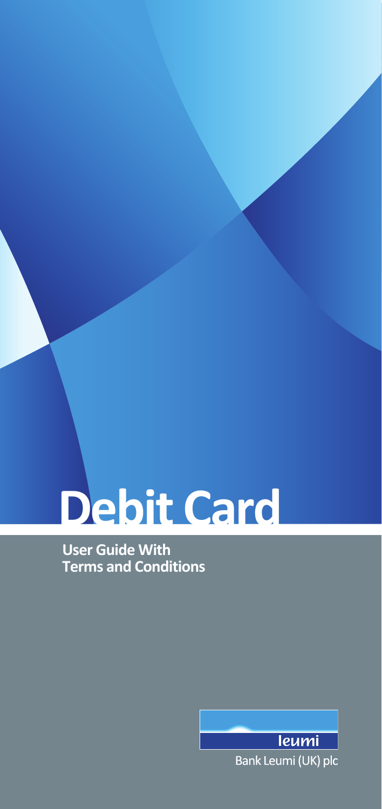# **Debit Card**

**User Guide With Terms and Conditions**

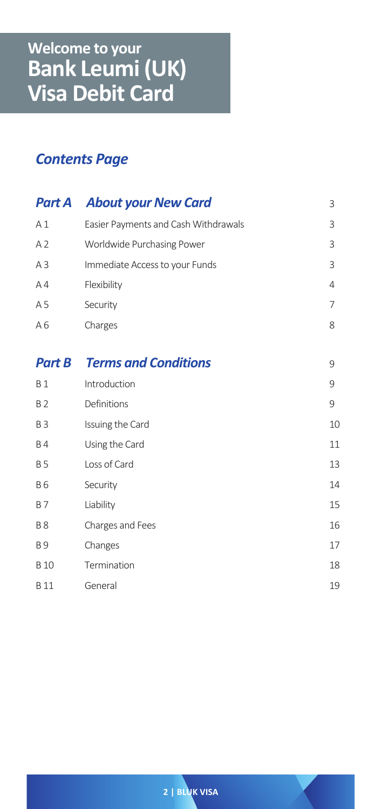# *Contents Page*

| Part A                | <b>About your New Card</b>           | 3              |
|-----------------------|--------------------------------------|----------------|
| A <sub>1</sub>        | Easier Payments and Cash Withdrawals | 3              |
| A <sub>2</sub>        | Worldwide Purchasing Power           | 3              |
| A <sub>3</sub>        | Immediate Access to your Funds       | 3              |
| A <sub>4</sub>        | Flexibility                          | $\overline{4}$ |
| A 5                   | Security                             | 7              |
| A6                    | Charges                              | 8              |
|                       |                                      |                |
| <b>Part B</b>         | <b>Terms and Conditions</b>          | 9              |
| <b>B</b> 1            | Introduction                         | 9              |
| <b>B2</b>             | Definitions                          | 9              |
| <b>B3</b>             | Issuing the Card                     | 10             |
| <b>B4</b>             | Using the Card                       | 11             |
| <b>B5</b>             | Loss of Card                         | 13             |
| <b>B6</b>             | Security                             | 14             |
| <b>B7</b>             | Liability                            | 15             |
| <b>B8</b>             | Charges and Fees                     | 16             |
| <b>B</b> <sub>9</sub> | Changes                              | 17             |
| <b>B</b> 10           | Termination                          | 18             |
| <b>B11</b>            | General                              | 19             |

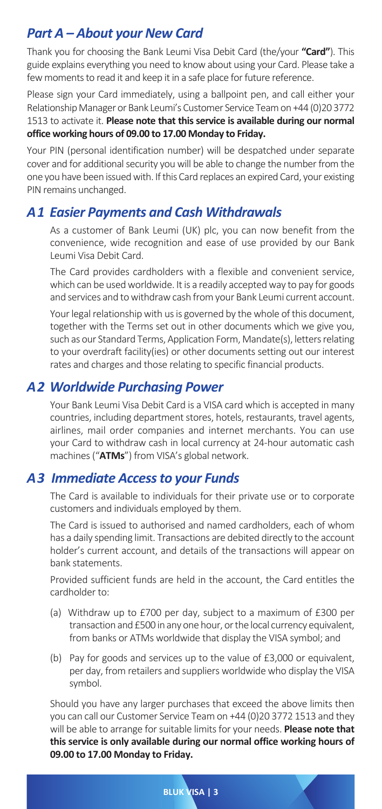# *Part A – About your New Card*

Thank you for choosing the Bank Leumi Visa Debit Card (the/your **"Card"**). This guide explains everything you need to know about using your Card. Please take a few moments to read it and keep it in a safe place for future reference.

Please sign your Card immediately, using a ballpoint pen, and call either your Relationship Manager or Bank Leumi's Customer Service Team on +44 (0)20 3772 1513 to activate it. **Please note that this service is available during our normal office working hours of 09.00 to 17.00 Monday to Friday.**

Your PIN (personal identification number) will be despatched under separate cover and for additional security you will be able to change the number from the one you have been issued with. If this Card replaces an expired Card, your existing PIN remains unchanged.

## *A 1 Easier Payments and Cash Withdrawals*

As a customer of Bank Leumi (UK) plc, you can now benefit from the convenience, wide recognition and ease of use provided by our Bank Leumi Visa Debit Card.

The Card provides cardholders with a flexible and convenient service, which can be used worldwide. It is a readily accepted way to pay for goods and services and to withdraw cash from your Bank Leumi current account.

Your legal relationship with us is governed by the whole of this document, together with the Terms set out in other documents which we give you, such as our Standard Terms, Application Form, Mandate(s), letters relating to your overdraft facility(ies) or other documents setting out our interest rates and charges and those relating to specific financial products.

## *A 2 Worldwide Purchasing Power*

Your Bank Leumi Visa Debit Card is a VISA card which is accepted in many countries, including department stores, hotels, restaurants, travel agents, airlines, mail order companies and internet merchants. You can use your Card to withdraw cash in local currency at 24-hour automatic cash machines ("**ATMs**") from VISA's global network.

## *A 3 Immediate Access to your Funds*

The Card is available to individuals for their private use or to corporate customers and individuals employed by them.

The Card is issued to authorised and named cardholders, each of whom has a daily spending limit. Transactions are debited directly to the account holder's current account, and details of the transactions will appear on bank statements.

Provided sufficient funds are held in the account, the Card entitles the cardholder to:

- (a) Withdraw up to £700 per day, subject to a maximum of £300 per transaction and £500 in any one hour, or the local currency equivalent, from banks or ATMs worldwide that display the VISA symbol; and
- (b) Pay for goods and services up to the value of £3,000 or equivalent, per day, from retailers and suppliers worldwide who display the VISA symbol.

Should you have any larger purchases that exceed the above limits then you can call our Customer Service Team on +44 (0)20 3772 1513 and they will be able to arrange for suitable limits for your needs. **Please note that this service is only available during our normal office working hours of 09.00 to 17.00 Monday to Friday.**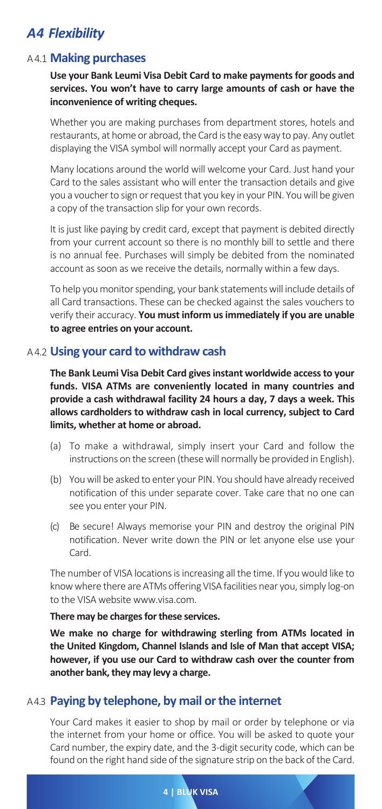# *A 4 Flexibility*

## A 4.1 **Making purchases**

**Use your Bank Leumi Visa Debit Card to make payments for goods and services. You won't have to carry large amounts of cash or have the inconvenience of writing cheques.**

Whether you are making purchases from department stores, hotels and restaurants, at home or abroad, the Card is the easy way to pay. Any outlet displaying the VISA symbol will normally accept your Card as payment.

Many locations around the world will welcome your Card. Just hand your Card to the sales assistant who will enter the transaction details and give you a voucher to sign or request that you key in your PIN. You will be given a copy of the transaction slip for your own records.

It is just like paying by credit card, except that payment is debited directly from your current account so there is no monthly bill to settle and there is no annual fee. Purchases will simply be debited from the nominated account as soon as we receive the details, normally within a few days.

To help you monitor spending, your bank statements will include details of all Card transactions. These can be checked against the sales vouchers to verify their accuracy. **You must inform us immediately if you are unable to agree entries on your account.**

## A 4.2 **Using your card to withdraw cash**

**The Bank Leumi Visa Debit Card gives instant worldwide access to your funds. VISA ATMs are conveniently located in many countries and provide a cash withdrawal facility 24 hours a day, 7 days a week. This allows cardholders to withdraw cash in local currency, subject to Card limits, whether at home or abroad.**

- (a) To make a withdrawal, simply insert your Card and follow the instructions on the screen (these will normally be provided in English).
- (b) You will be asked to enter your PIN. You should have already received notification of this under separate cover. Take care that no one can see you enter your PIN.
- (c) Be secure! Always memorise your PIN and destroy the original PIN notification. Never write down the PIN or let anyone else use your Card.

The number of VISA locations is increasing all the time. If you would like to know where there are ATMs offering VISA facilities near you, simply log-on to the VISA website www.visa.com.

#### **There may be charges for these services.**

**We make no charge for withdrawing sterling from ATMs located in the United Kingdom, Channel Islands and Isle of Man that accept VISA; however, if you use our Card to withdraw cash over the counter from another bank, they may levy a charge.**

## A 4.3 **Paying by telephone, by mail or the internet**

Your Card makes it easier to shop by mail or order by telephone or via the internet from your home or office. You will be asked to quote your Card number, the expiry date, and the 3-digit security code, which can be found on the right hand side of the signature strip on the back of the Card.

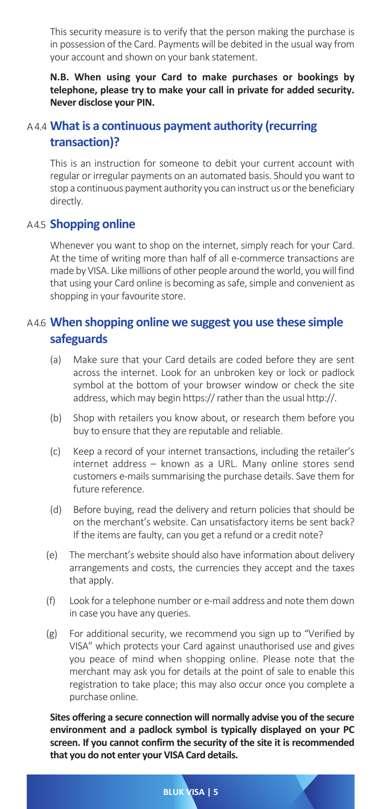This security measure is to verify that the person making the purchase is in possession of the Card. Payments will be debited in the usual way from your account and shown on your bank statement.

**N.B. When using your Card to make purchases or bookings by telephone, please try to make your call in private for added security. Never disclose your PIN.**

## A 4.4 **What is a continuous payment authority (recurring transaction)?**

This is an instruction for someone to debit your current account with regular or irregular payments on an automated basis. Should you want to stop a continuous payment authority you can instruct us or the beneficiary directly.

## A 4.5 **Shopping online**

Whenever you want to shop on the internet, simply reach for your Card. At the time of writing more than half of all e-commerce transactions are made by VISA. Like millions of other people around the world, you will find that using your Card online is becoming as safe, simple and convenient as shopping in your favourite store.

## A 4.6 **When shopping online we suggest you use these simple safeguards**

- (a) Make sure that your Card details are coded before they are sent across the internet. Look for an unbroken key or lock or padlock symbol at the bottom of your browser window or check the site address, which may begin https:// rather than the usual http://.
- (b) Shop with retailers you know about, or research them before you buy to ensure that they are reputable and reliable.
- (c) Keep a record of your internet transactions, including the retailer's internet address – known as a URL. Many online stores send customers e-mails summarising the purchase details. Save them for future reference.
- (d) Before buying, read the delivery and return policies that should be on the merchant's website. Can unsatisfactory items be sent back? If the items are faulty, can you get a refund or a credit note?
- (e) The merchant's website should also have information about delivery arrangements and costs, the currencies they accept and the taxes that apply.
- (f) Look for a telephone number or e-mail address and note them down in case you have any queries.
- (g) For additional security, we recommend you sign up to "Verified by VISA" which protects your Card against unauthorised use and gives you peace of mind when shopping online. Please note that the merchant may ask you for details at the point of sale to enable this registration to take place; this may also occur once you complete a purchase online.

**Sites offering a secure connection will normally advise you of the secure environment and a padlock symbol is typically displayed on your PC screen. If you cannot confirm the security of the site it is recommended that you do not enter your VISA Card details.**

**BLUK VISA | 5**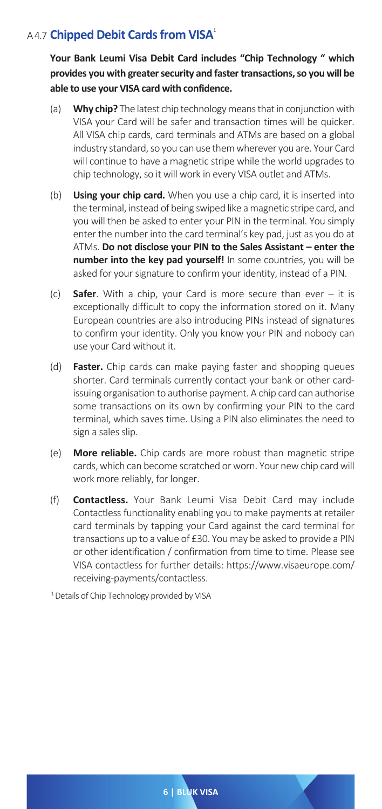## A 4.7 **Chipped Debit Cards from VISA**<sup>1</sup>

**Your Bank Leumi Visa Debit Card includes "Chip Technology " which provides you with greater security and faster transactions, so you will be able to use your VISA card with confidence.**

- (a) **Why chip?** The latest chip technology means that in conjunction with VISA your Card will be safer and transaction times will be quicker. All VISA chip cards, card terminals and ATMs are based on a global industry standard, so you can use them wherever you are. Your Card will continue to have a magnetic stripe while the world upgrades to chip technology, so it will work in every VISA outlet and ATMs.
- (b) **Using your chip card.** When you use a chip card, it is inserted into the terminal, instead of being swiped like a magnetic stripe card, and you will then be asked to enter your PIN in the terminal. You simply enter the number into the card terminal's key pad, just as you do at ATMs. **Do not disclose your PIN to the Sales Assistant – enter the number into the key pad yourself!** In some countries, you will be asked for your signature to confirm your identity, instead of a PIN.
- (c) **Safer**. With a chip, your Card is more secure than ever it is exceptionally difficult to copy the information stored on it. Many European countries are also introducing PINs instead of signatures to confirm your identity. Only you know your PIN and nobody can use your Card without it.
- (d) **Faster.** Chip cards can make paying faster and shopping queues shorter. Card terminals currently contact your bank or other cardissuing organisation to authorise payment. A chip card can authorise some transactions on its own by confirming your PIN to the card terminal, which saves time. Using a PIN also eliminates the need to sign a sales slip.
- (e) **More reliable.** Chip cards are more robust than magnetic stripe cards, which can become scratched or worn. Your new chip card will work more reliably, for longer.
- (f) **Contactless.** Your Bank Leumi Visa Debit Card may include Contactless functionality enabling you to make payments at retailer card terminals by tapping your Card against the card terminal for transactions up to a value of £30. You may be asked to provide a PIN or other identification / confirmation from time to time. Please see VISA contactless for further details: https://www.visaeurope.com/ receiving-payments/contactless.

<sup>1</sup> Details of Chip Technology provided by VISA

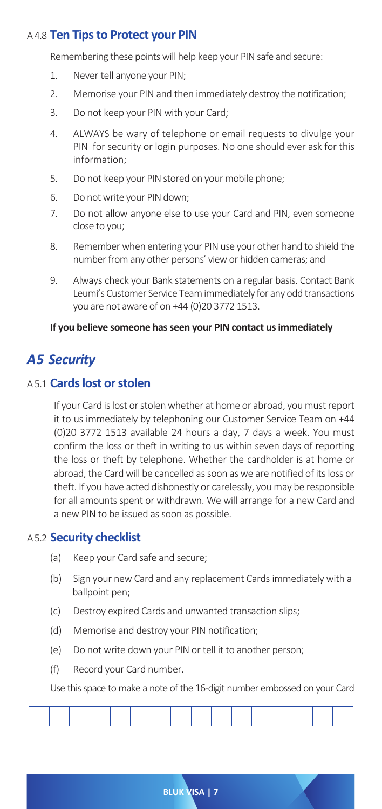## A 4.8 **Ten Tips to Protect your PIN**

Remembering these points will help keep your PIN safe and secure:

- 1. Never tell anyone your PIN;
- 2. Memorise your PIN and then immediately destroy the notification;
- 3. Do not keep your PIN with your Card;
- 4. ALWAYS be wary of telephone or email requests to divulge your PIN for security or login purposes. No one should ever ask for this information;
- 5. Do not keep your PIN stored on your mobile phone;
- 6. Do not write your PIN down;
- 7. Do not allow anyone else to use your Card and PIN, even someone close to you;
- 8. Remember when entering your PIN use your other hand to shield the number from any other persons' view or hidden cameras; and
- 9. Always check your Bank statements on a regular basis. Contact Bank Leumi's Customer Service Team immediately for any odd transactions you are not aware of on +44 (0)20 3772 1513.

#### **If you believe someone has seen your PIN contact us immediately**

## *A 5 Security*

#### A 5.1 **Cards lost or stolen**

If your Card is lost or stolen whether at home or abroad, you must report it to us immediately by telephoning our Customer Service Team on +44 (0)20 3772 1513 available 24 hours a day, 7 days a week. You must confirm the loss or theft in writing to us within seven days of reporting the loss or theft by telephone. Whether the cardholder is at home or abroad, the Card will be cancelled as soon as we are notified of its loss or theft. If you have acted dishonestly or carelessly, you may be responsible for all amounts spent or withdrawn. We will arrange for a new Card and a new PIN to be issued as soon as possible.

#### A 5.2 **Security checklist**

- (a) Keep your Card safe and secure;
- (b) Sign your new Card and any replacement Cards immediately with a ballpoint pen;
- (c) Destroy expired Cards and unwanted transaction slips;
- (d) Memorise and destroy your PIN notification;
- (e) Do not write down your PIN or tell it to another person;
- (f) Record your Card number.

Use this space to make a note of the 16-digit number embossed on your Card



**BLUK VISA | 7**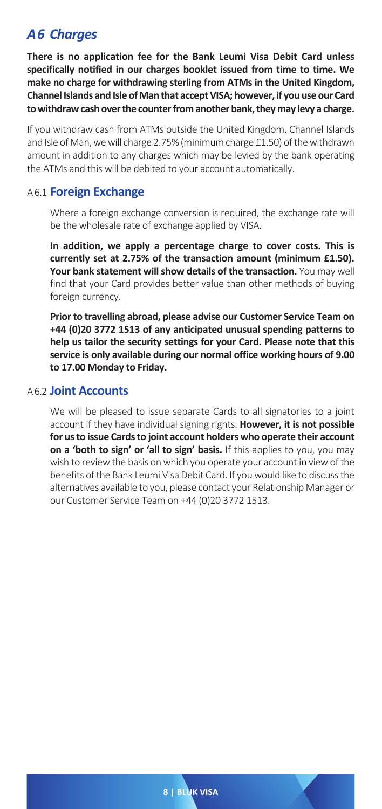# *A 6 Charges*

**There is no application fee for the Bank Leumi Visa Debit Card unless specifically notified in our charges booklet issued from time to time. We make no charge for withdrawing sterling from ATMs in the United Kingdom, Channel Islands and Isle of Man that accept VISA; however, if you use our Card to withdraw cash over the counter from another bank, they may levy a charge.**

If you withdraw cash from ATMs outside the United Kingdom, Channel Islands and Isle of Man, we will charge 2.75% (minimum charge £1.50) of the withdrawn amount in addition to any charges which may be levied by the bank operating the ATMs and this will be debited to your account automatically.

## A 6.1 **Foreign Exchange**

Where a foreign exchange conversion is required, the exchange rate will be the wholesale rate of exchange applied by VISA.

**In addition, we apply a percentage charge to cover costs. This is currently set at 2.75% of the transaction amount (minimum £1.50). Your bank statement will show details of the transaction.** You may well find that your Card provides better value than other methods of buying foreign currency.

**Prior to travelling abroad, please advise our Customer Service Team on +44 (0)20 3772 1513 of any anticipated unusual spending patterns to help us tailor the security settings for your Card. Please note that this service is only available during our normal office working hours of 9.00 to 17.00 Monday to Friday.**

#### A 6.2 **Joint Accounts**

We will be pleased to issue separate Cards to all signatories to a joint account if they have individual signing rights. **However, it is not possible for us to issue Cards to joint account holders who operate their account on a 'both to sign' or 'all to sign' basis.** If this applies to you, you may wish to review the basis on which you operate your account in view of the benefits of the Bank Leumi Visa Debit Card. If you would like to discuss the alternatives available to you, please contact your Relationship Manager or our Customer Service Team on +44 (0)20 3772 1513.

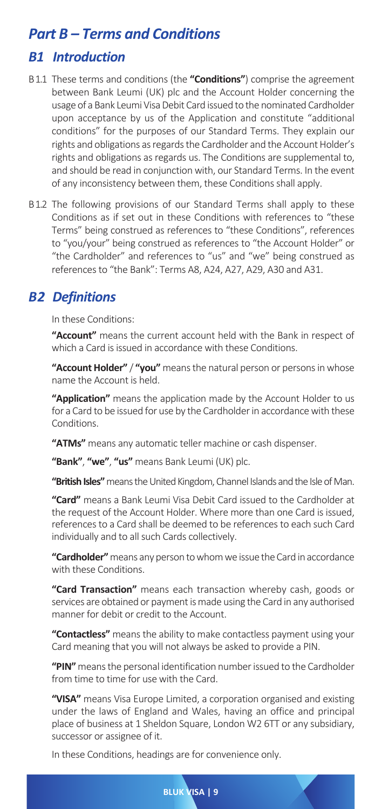# *Part B – Terms and Conditions*

## *B1 Introduction*

- B 1.1 These terms and conditions (the **"Conditions"**) comprise the agreement between Bank Leumi (UK) plc and the Account Holder concerning the usage of a Bank Leumi Visa Debit Card issued to the nominated Cardholder upon acceptance by us of the Application and constitute "additional conditions" for the purposes of our Standard Terms. They explain our rights and obligations as regards the Cardholder and the Account Holder's rights and obligations as regards us. The Conditions are supplemental to, and should be read in conjunction with, our Standard Terms. In the event of any inconsistency between them, these Conditions shall apply.
- B 1.2 The following provisions of our Standard Terms shall apply to these Conditions as if set out in these Conditions with references to "these Terms" being construed as references to "these Conditions", references to "you/your" being construed as references to "the Account Holder" or "the Cardholder" and references to "us" and "we" being construed as references to "the Bank": Terms A8, A24, A27, A29, A30 and A31.

# *B 2 Definitions*

In these Conditions:

**"Account"** means the current account held with the Bank in respect of which a Card is issued in accordance with these Conditions.

**"Account Holder"** / **"you"** means the natural person or persons in whose name the Account is held.

**"Application"** means the application made by the Account Holder to us for a Card to be issued for use by the Cardholder in accordance with these **Conditions** 

**"ATMs"** means any automatic teller machine or cash dispenser.

**"Bank"**, **"we"**, **"us"** means Bank Leumi (UK) plc.

**"British Isles"** means the United Kingdom, Channel Islands and the Isle of Man.

**"Card"** means a Bank Leumi Visa Debit Card issued to the Cardholder at the request of the Account Holder. Where more than one Card is issued, references to a Card shall be deemed to be references to each such Card individually and to all such Cards collectively.

**"Cardholder"** means any person to whom we issue the Card in accordance with these Conditions.

**"Card Transaction"** means each transaction whereby cash, goods or services are obtained or payment is made using the Card in any authorised manner for debit or credit to the Account.

**"Contactless"** means the ability to make contactless payment using your Card meaning that you will not always be asked to provide a PIN.

**"PIN"** means the personal identification number issued to the Cardholder from time to time for use with the Card.

**"VISA"** means Visa Europe Limited, a corporation organised and existing under the laws of England and Wales, having an office and principal place of business at 1 Sheldon Square, London W2 6TT or any subsidiary, successor or assignee of it.

**BLUK VISA | 9**

In these Conditions, headings are for convenience only.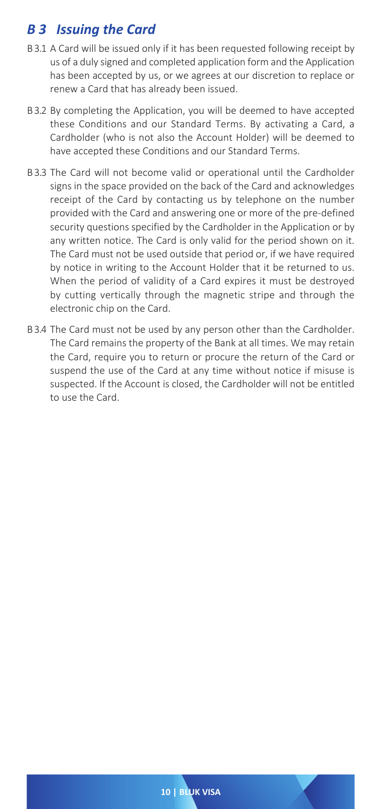# *B 3 Issuing the Card*

- B 3.1 A Card will be issued only if it has been requested following receipt by us of a duly signed and completed application form and the Application has been accepted by us, or we agrees at our discretion to replace or renew a Card that has already been issued.
- B 3.2 By completing the Application, you will be deemed to have accepted these Conditions and our Standard Terms. By activating a Card, a Cardholder (who is not also the Account Holder) will be deemed to have accepted these Conditions and our Standard Terms.
- B 3.3 The Card will not become valid or operational until the Cardholder signs in the space provided on the back of the Card and acknowledges receipt of the Card by contacting us by telephone on the number provided with the Card and answering one or more of the pre-defined security questions specified by the Cardholder in the Application or by any written notice. The Card is only valid for the period shown on it. The Card must not be used outside that period or, if we have required by notice in writing to the Account Holder that it be returned to us. When the period of validity of a Card expires it must be destroyed by cutting vertically through the magnetic stripe and through the electronic chip on the Card.
- B 3.4 The Card must not be used by any person other than the Cardholder. The Card remains the property of the Bank at all times. We may retain the Card, require you to return or procure the return of the Card or suspend the use of the Card at any time without notice if misuse is suspected. If the Account is closed, the Cardholder will not be entitled to use the Card.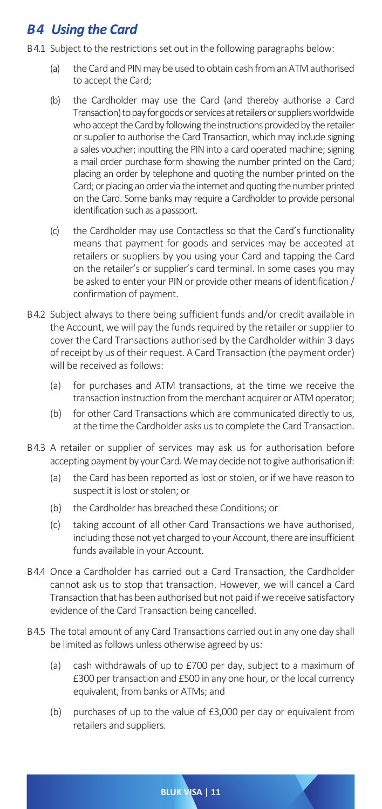# *B 4 Using the Card*

- B 4.1 Subject to the restrictions set out in the following paragraphs below:
	- (a) the Card and PIN may be used to obtain cash from an ATM authorised to accept the Card;
	- (b) the Cardholder may use the Card (and thereby authorise a Card Transaction) to pay for goods or services at retailers or suppliers worldwide who accept the Card by following the instructions provided by the retailer or supplier to authorise the Card Transaction, which may include signing a sales voucher; inputting the PIN into a card operated machine; signing a mail order purchase form showing the number printed on the Card; placing an order by telephone and quoting the number printed on the Card; or placing an order via the internet and quoting the number printed on the Card. Some banks may require a Cardholder to provide personal identification such as a passport.
	- (c) the Cardholder may use Contactless so that the Card's functionality means that payment for goods and services may be accepted at retailers or suppliers by you using your Card and tapping the Card on the retailer's or supplier's card terminal. In some cases you may be asked to enter your PIN or provide other means of identification / confirmation of payment.
- B 4.2 Subject always to there being sufficient funds and/or credit available in the Account, we will pay the funds required by the retailer or supplier to cover the Card Transactions authorised by the Cardholder within 3 days of receipt by us of their request. A Card Transaction (the payment order) will be received as follows:
	- (a) for purchases and ATM transactions, at the time we receive the transaction instruction from the merchant acquirer or ATM operator;
	- (b) for other Card Transactions which are communicated directly to us, at the time the Cardholder asks us to complete the Card Transaction.
- B 4.3 A retailer or supplier of services may ask us for authorisation before accepting payment by your Card. We may decide not to give authorisation if:
	- (a) the Card has been reported as lost or stolen, or if we have reason to suspect it is lost or stolen; or
	- (b) the Cardholder has breached these Conditions; or
	- (c) taking account of all other Card Transactions we have authorised, including those not yet charged to your Account, there are insufficient funds available in your Account.
- B 4.4 Once a Cardholder has carried out a Card Transaction, the Cardholder cannot ask us to stop that transaction. However, we will cancel a Card Transaction that has been authorised but not paid if we receive satisfactory evidence of the Card Transaction being cancelled.
- B 4.5 The total amount of any Card Transactions carried out in any one day shall be limited as follows unless otherwise agreed by us:
	- (a) cash withdrawals of up to £700 per day, subject to a maximum of £300 per transaction and £500 in any one hour, or the local currency equivalent, from banks or ATMs; and
	- (b) purchases of up to the value of £3,000 per day or equivalent from retailers and suppliers.

**BLUK VISA | 11**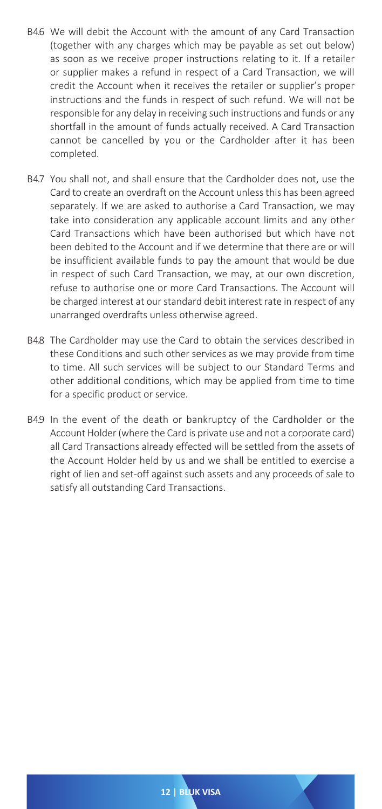- B 4.6 We will debit the Account with the amount of any Card Transaction (together with any charges which may be payable as set out below) as soon as we receive proper instructions relating to it. If a retailer or supplier makes a refund in respect of a Card Transaction, we will credit the Account when it receives the retailer or supplier's proper instructions and the funds in respect of such refund. We will not be responsible for any delay in receiving such instructions and funds or any shortfall in the amount of funds actually received. A Card Transaction cannot be cancelled by you or the Cardholder after it has been completed.
- B 4.7 You shall not, and shall ensure that the Cardholder does not, use the Card to create an overdraft on the Account unless this has been agreed separately. If we are asked to authorise a Card Transaction, we may take into consideration any applicable account limits and any other Card Transactions which have been authorised but which have not been debited to the Account and if we determine that there are or will be insufficient available funds to pay the amount that would be due in respect of such Card Transaction, we may, at our own discretion, refuse to authorise one or more Card Transactions. The Account will be charged interest at our standard debit interest rate in respect of any unarranged overdrafts unless otherwise agreed.
- B 4.8 The Cardholder may use the Card to obtain the services described in these Conditions and such other services as we may provide from time to time. All such services will be subject to our Standard Terms and other additional conditions, which may be applied from time to time for a specific product or service.
- B 4.9 In the event of the death or bankruptcy of the Cardholder or the Account Holder (where the Card is private use and not a corporate card) all Card Transactions already effected will be settled from the assets of the Account Holder held by us and we shall be entitled to exercise a right of lien and set-off against such assets and any proceeds of sale to satisfy all outstanding Card Transactions.

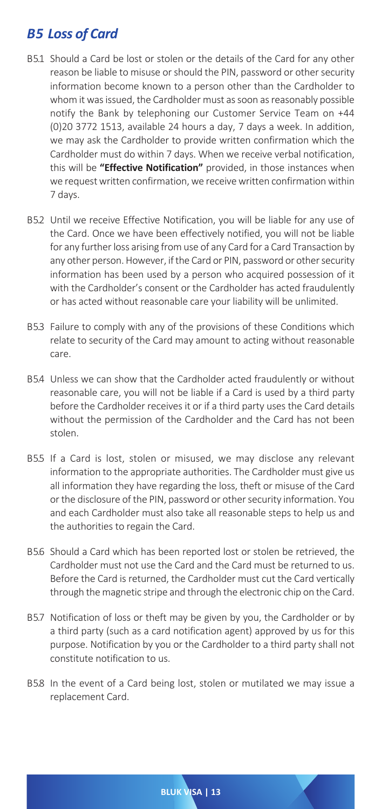# **B5 Loss of Card**

- B 5.1 Should a Card be lost or stolen or the details of the Card for any other reason be liable to misuse or should the PIN, password or other security information become known to a person other than the Cardholder to whom it was issued, the Cardholder must as soon as reasonably possible notify the Bank by telephoning our Customer Service Team on +44 (0)20 3772 1513, available 24 hours a day, 7 days a week. In addition, we may ask the Cardholder to provide written confirmation which the Cardholder must do within 7 days. When we receive verbal notification, this will be **"Effective Notification"** provided, in those instances when we request written confirmation, we receive written confirmation within 7 days.
- B 5.2 Until we receive Effective Notification, you will be liable for any use of the Card. Once we have been effectively notified, you will not be liable for any further loss arising from use of any Card for a Card Transaction by any other person. However, if the Card or PIN, password or other security information has been used by a person who acquired possession of it with the Cardholder's consent or the Cardholder has acted fraudulently or has acted without reasonable care your liability will be unlimited.
- B 5.3 Failure to comply with any of the provisions of these Conditions which relate to security of the Card may amount to acting without reasonable care.
- B 5.4 Unless we can show that the Cardholder acted fraudulently or without reasonable care, you will not be liable if a Card is used by a third party before the Cardholder receives it or if a third party uses the Card details without the permission of the Cardholder and the Card has not been stolen.
- B 5.5 If a Card is lost, stolen or misused, we may disclose any relevant information to the appropriate authorities. The Cardholder must give us all information they have regarding the loss, theft or misuse of the Card or the disclosure of the PIN, password or other security information. You and each Cardholder must also take all reasonable steps to help us and the authorities to regain the Card.
- B 5.6 Should a Card which has been reported lost or stolen be retrieved, the Cardholder must not use the Card and the Card must be returned to us. Before the Card is returned, the Cardholder must cut the Card vertically through the magnetic stripe and through the electronic chip on the Card.
- B 5.7 Notification of loss or theft may be given by you, the Cardholder or by a third party (such as a card notification agent) approved by us for this purpose. Notification by you or the Cardholder to a third party shall not constitute notification to us.
- B 5.8 In the event of a Card being lost, stolen or mutilated we may issue a replacement Card.

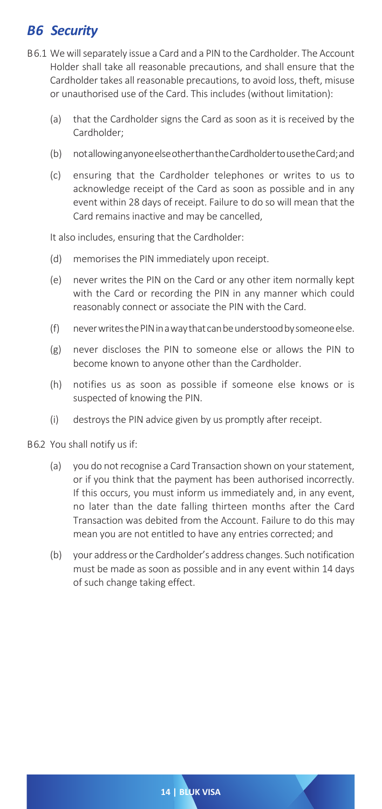# **B6** Security

- B 6.1 We will separately issue a Card and a PIN to the Cardholder. The Account Holder shall take all reasonable precautions, and shall ensure that the Cardholder takes all reasonable precautions, to avoid loss, theft, misuse or unauthorised use of the Card. This includes (without limitation):
	- (a) that the Cardholder signs the Card as soon as it is received by the Cardholder;
	- (b) not allowing anyone else other than the Cardholder to use the Card; and
	- (c) ensuring that the Cardholder telephones or writes to us to acknowledge receipt of the Card as soon as possible and in any event within 28 days of receipt. Failure to do so will mean that the Card remains inactive and may be cancelled,

It also includes, ensuring that the Cardholder:

- (d) memorises the PIN immediately upon receipt.
- (e) never writes the PIN on the Card or any other item normally kept with the Card or recording the PIN in any manner which could reasonably connect or associate the PIN with the Card.
- (f) never writes the PIN in a way that can be understood by someone else.
- (g) never discloses the PIN to someone else or allows the PIN to become known to anyone other than the Cardholder.
- (h) notifies us as soon as possible if someone else knows or is suspected of knowing the PIN.
- (i) destroys the PIN advice given by us promptly after receipt.
- B 6.2 You shall notify us if:
	- (a) you do not recognise a Card Transaction shown on your statement, or if you think that the payment has been authorised incorrectly. If this occurs, you must inform us immediately and, in any event, no later than the date falling thirteen months after the Card Transaction was debited from the Account. Failure to do this may mean you are not entitled to have any entries corrected; and
	- (b) your address or the Cardholder's address changes. Such notification must be made as soon as possible and in any event within 14 days of such change taking effect.

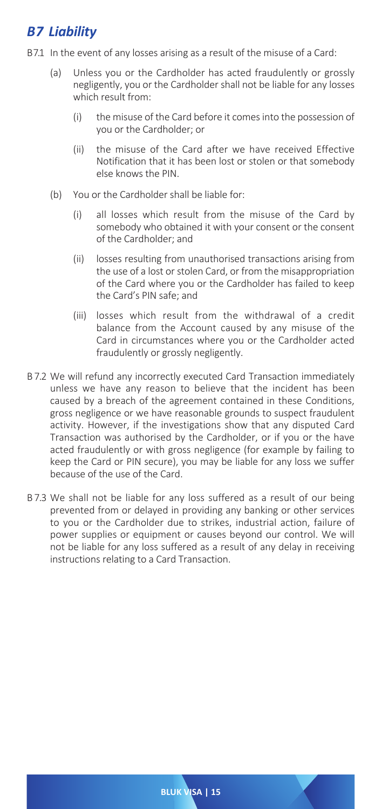# *B 7 Liability*

- B 7.1 In the event of any losses arising as a result of the misuse of a Card:
	- (a) Unless you or the Cardholder has acted fraudulently or grossly negligently, you or the Cardholder shall not be liable for any losses which result from:
		- (i) the misuse of the Card before it comes into the possession of you or the Cardholder; or
		- (ii) the misuse of the Card after we have received Effective Notification that it has been lost or stolen or that somebody else knows the PIN.
	- (b) You or the Cardholder shall be liable for:
		- (i) all losses which result from the misuse of the Card by somebody who obtained it with your consent or the consent of the Cardholder; and
		- (ii) losses resulting from unauthorised transactions arising from the use of a lost or stolen Card, or from the misappropriation of the Card where you or the Cardholder has failed to keep the Card's PIN safe; and
		- (iii) losses which result from the withdrawal of a credit balance from the Account caused by any misuse of the Card in circumstances where you or the Cardholder acted fraudulently or grossly negligently.
- B 7.2 We will refund any incorrectly executed Card Transaction immediately unless we have any reason to believe that the incident has been caused by a breach of the agreement contained in these Conditions, gross negligence or we have reasonable grounds to suspect fraudulent activity. However, if the investigations show that any disputed Card Transaction was authorised by the Cardholder, or if you or the have acted fraudulently or with gross negligence (for example by failing to keep the Card or PIN secure), you may be liable for any loss we suffer because of the use of the Card.
- B 7.3 We shall not be liable for any loss suffered as a result of our being prevented from or delayed in providing any banking or other services to you or the Cardholder due to strikes, industrial action, failure of power supplies or equipment or causes beyond our control. We will not be liable for any loss suffered as a result of any delay in receiving instructions relating to a Card Transaction.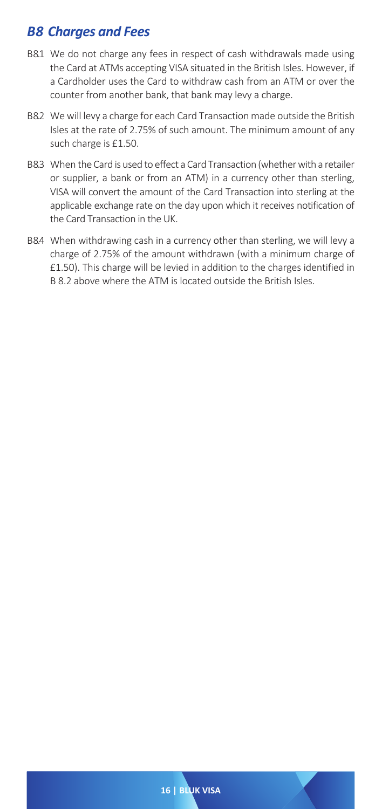# *B 8 Charges and Fees*

- B 8.1 We do not charge any fees in respect of cash withdrawals made using the Card at ATMs accepting VISA situated in the British Isles. However, if a Cardholder uses the Card to withdraw cash from an ATM or over the counter from another bank, that bank may levy a charge.
- B 8.2 We will levy a charge for each Card Transaction made outside the British Isles at the rate of 2.75% of such amount. The minimum amount of any such charge is £1.50.
- B 8.3 When the Card is used to effect a Card Transaction (whether with a retailer or supplier, a bank or from an ATM) in a currency other than sterling, VISA will convert the amount of the Card Transaction into sterling at the applicable exchange rate on the day upon which it receives notification of the Card Transaction in the UK.
- B 8.4 When withdrawing cash in a currency other than sterling, we will levy a charge of 2.75% of the amount withdrawn (with a minimum charge of £1.50). This charge will be levied in addition to the charges identified in B 8.2 above where the ATM is located outside the British Isles.

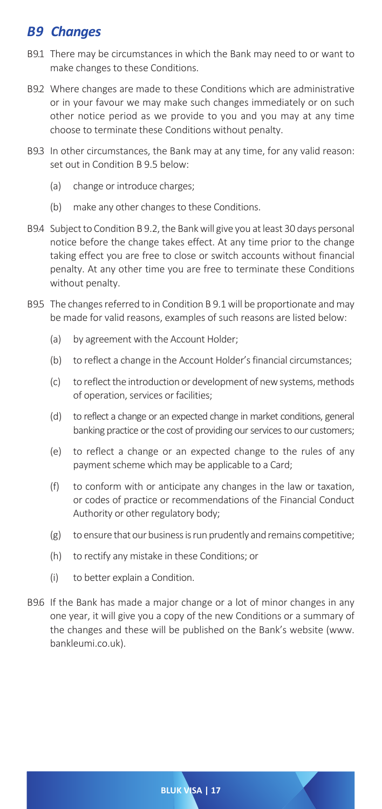# **B9** Changes

- B 9.1 There may be circumstances in which the Bank may need to or want to make changes to these Conditions.
- B 9.2 Where changes are made to these Conditions which are administrative or in your favour we may make such changes immediately or on such other notice period as we provide to you and you may at any time choose to terminate these Conditions without penalty.
- B 9.3 In other circumstances, the Bank may at any time, for any valid reason: set out in Condition B 9.5 below:
	- (a) change or introduce charges;
	- (b) make any other changes to these Conditions.
- B 9.4 Subject to Condition B 9.2, the Bank will give you at least 30 days personal notice before the change takes effect. At any time prior to the change taking effect you are free to close or switch accounts without financial penalty. At any other time you are free to terminate these Conditions without penalty.
- B 9.5 The changes referred to in Condition B 9.1 will be proportionate and may be made for valid reasons, examples of such reasons are listed below:
	- (a) by agreement with the Account Holder;
	- (b) to reflect a change in the Account Holder's financial circumstances;
	- (c) to reflect the introduction or development of new systems, methods of operation, services or facilities;
	- (d) to reflect a change or an expected change in market conditions, general banking practice or the cost of providing our services to our customers;
	- (e) to reflect a change or an expected change to the rules of any payment scheme which may be applicable to a Card;
	- (f) to conform with or anticipate any changes in the law or taxation, or codes of practice or recommendations of the Financial Conduct Authority or other regulatory body;
	- (g) to ensure that our business is run prudently and remains competitive;
	- (h) to rectify any mistake in these Conditions; or
	- (i) to better explain a Condition.
- B 9.6 If the Bank has made a major change or a lot of minor changes in any one year, it will give you a copy of the new Conditions or a summary of the changes and these will be published on the Bank's website (www. bankleumi.co.uk).

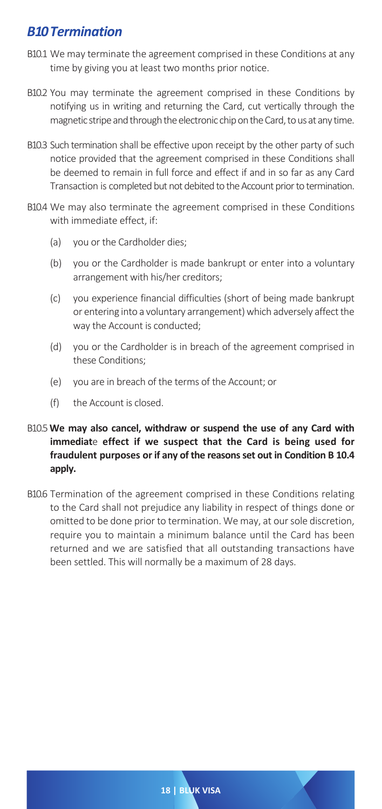# *B 10 Termination*

- B10.1 We may terminate the agreement comprised in these Conditions at any time by giving you at least two months prior notice.
- B10.2 You may terminate the agreement comprised in these Conditions by notifying us in writing and returning the Card, cut vertically through the magnetic stripe and through the electronic chip on the Card, to us at any time.
- B10.3 Such termination shall be effective upon receipt by the other party of such notice provided that the agreement comprised in these Conditions shall be deemed to remain in full force and effect if and in so far as any Card Transaction is completed but not debited to the Account prior to termination.
- B10.4 We may also terminate the agreement comprised in these Conditions with immediate effect, if:
	- (a) you or the Cardholder dies;
	- (b) you or the Cardholder is made bankrupt or enter into a voluntary arrangement with his/her creditors;
	- (c) you experience financial difficulties (short of being made bankrupt or entering into a voluntary arrangement) which adversely affect the way the Account is conducted;
	- (d) you or the Cardholder is in breach of the agreement comprised in these Conditions;
	- (e) you are in breach of the terms of the Account; or
	- (f) the Account is closed.
- B10.5**We may also cancel, withdraw or suspend the use of any Card with immediat**e **effect if we suspect that the Card is being used for fraudulent purposes or if any of the reasons set out in Condition B 10.4 apply.**
- B10.6 Termination of the agreement comprised in these Conditions relating to the Card shall not prejudice any liability in respect of things done or omitted to be done prior to termination. We may, at our sole discretion, require you to maintain a minimum balance until the Card has been returned and we are satisfied that all outstanding transactions have been settled. This will normally be a maximum of 28 days.

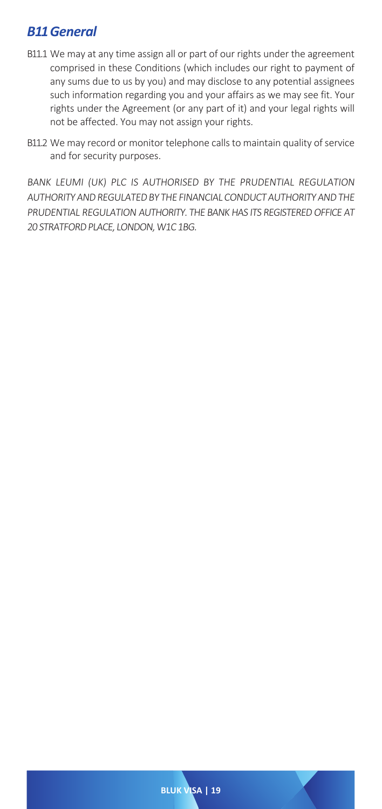# *B 11 General*

- B11.1 We may at any time assign all or part of our rights under the agreement comprised in these Conditions (which includes our right to payment of any sums due to us by you) and may disclose to any potential assignees such information regarding you and your affairs as we may see fit. Your rights under the Agreement (or any part of it) and your legal rights will not be affected. You may not assign your rights.
- B11.2 We may record or monitor telephone calls to maintain quality of service and for security purposes.

BANK LEUMI (UK) PLC IS AUTHORISED BY THE PRUDENTIAL REGULATION AUTHORITY AND REGULATED BY THE FINANCIAL CONDUCT AUTHORITY AND THE PRUDENTIAL REGULATION AUTHORITY. THE BANK HAS ITS REGISTERED OFFICE AT 20 STRATEORD PLACE, LONDON, W1C 1BG.